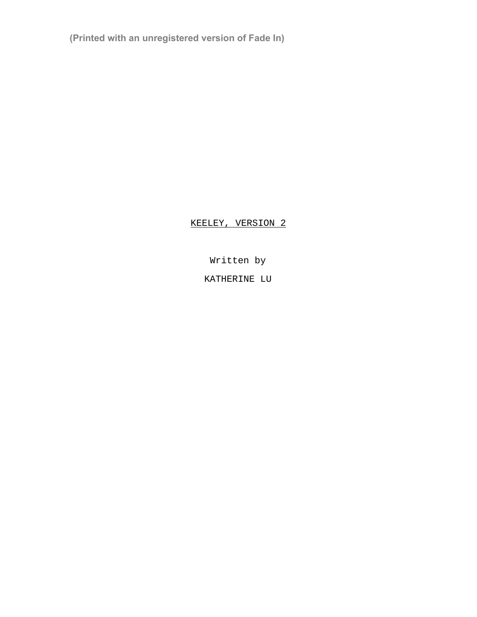**(Printed with an unregistered version of Fade In)**

# KEELEY, VERSION 2

Written by

KATHERINE LU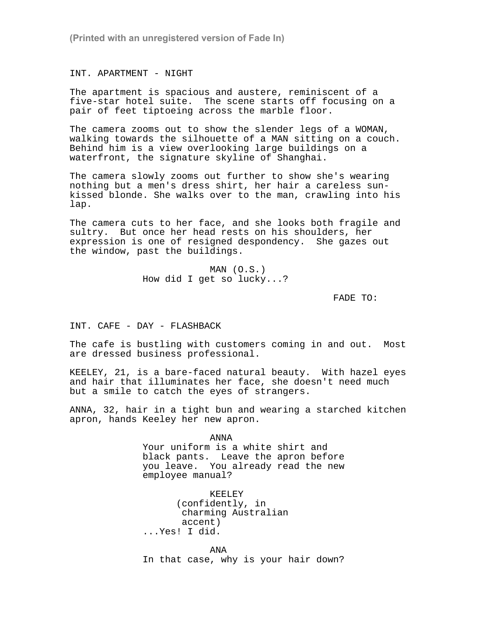**(Printed with an unregistered version of Fade In)**

INT. APARTMENT - NIGHT

The apartment is spacious and austere, reminiscent of a five-star hotel suite. The scene starts off focusing on a pair of feet tiptoeing across the marble floor.

The camera zooms out to show the slender legs of a WOMAN, walking towards the silhouette of a MAN sitting on a couch. Behind him is a view overlooking large buildings on a waterfront, the signature skyline of Shanghai.

The camera slowly zooms out further to show she's wearing nothing but a men's dress shirt, her hair a careless sunkissed blonde. She walks over to the man, crawling into his lap.

The camera cuts to her face, and she looks both fragile and sultry. But once her head rests on his shoulders, her expression is one of resigned despondency. She gazes out the window, past the buildings.

> MAN (O.S.) How did I get so lucky...?

> > FADE TO:

INT. CAFE - DAY - FLASHBACK

The cafe is bustling with customers coming in and out. Most are dressed business professional.

KEELEY, 21, is a bare-faced natural beauty. With hazel eyes and hair that illuminates her face, she doesn't need much but a smile to catch the eyes of strangers.

ANNA, 32, hair in a tight bun and wearing a starched kitchen apron, hands Keeley her new apron.

> ANNA Your uniform is a white shirt and black pants. Leave the apron before you leave. You already read the new employee manual?

KEELEY (confidently, in charming Australian accent) ...Yes! I did.

ANA

In that case, why is your hair down?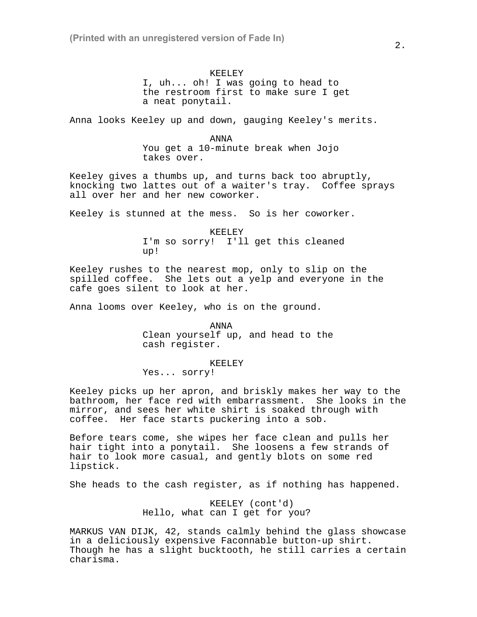KEELEY I, uh... oh! I was going to head to the restroom first to make sure I get a neat ponytail.

Anna looks Keeley up and down, gauging Keeley's merits.

ANNA You get a 10-minute break when Jojo takes over.

Keeley gives a thumbs up, and turns back too abruptly, knocking two lattes out of a waiter's tray. Coffee sprays all over her and her new coworker.

Keeley is stunned at the mess. So is her coworker.

KEELEY I'm so sorry! I'll get this cleaned up!

Keeley rushes to the nearest mop, only to slip on the spilled coffee. She lets out a yelp and everyone in the cafe goes silent to look at her.

Anna looms over Keeley, who is on the ground.

ANNA Clean yourself up, and head to the cash register.

KEELEY

Yes... sorry!

Keeley picks up her apron, and briskly makes her way to the bathroom, her face red with embarrassment. She looks in the mirror, and sees her white shirt is soaked through with coffee. Her face starts puckering into a sob.

Before tears come, she wipes her face clean and pulls her hair tight into a ponytail. She loosens a few strands of hair to look more casual, and gently blots on some red lipstick.

She heads to the cash register, as if nothing has happened.

KEELEY (cont'd) Hello, what can I get for you?

MARKUS VAN DIJK, 42, stands calmly behind the glass showcase in a deliciously expensive Faconnable button-up shirt. Though he has a slight bucktooth, he still carries a certain charisma.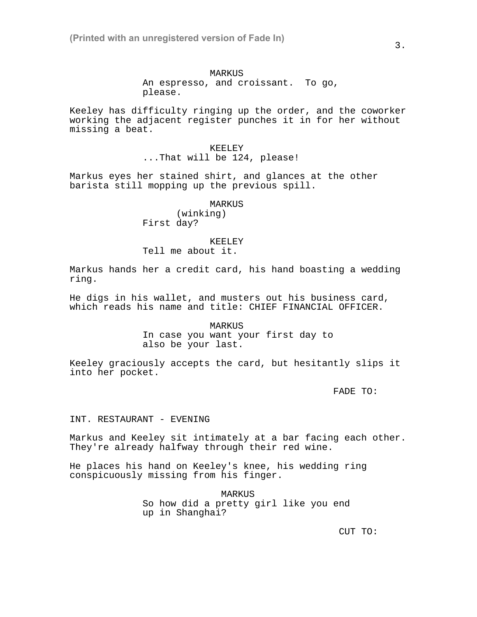Keeley has difficulty ringing up the order, and the coworker working the adjacent register punches it in for her without missing a beat.

> KEELEY ...That will be 124, please!

Markus eyes her stained shirt, and glances at the other barista still mopping up the previous spill.

MARKUS

(winking) First day?

KEELEY

Tell me about it.

Markus hands her a credit card, his hand boasting a wedding ring.

He digs in his wallet, and musters out his business card, which reads his name and title: CHIEF FINANCIAL OFFICER.

> MARKUS In case you want your first day to also be your last.

Keeley graciously accepts the card, but hesitantly slips it into her pocket.

FADE TO:

### INT. RESTAURANT - EVENING

Markus and Keeley sit intimately at a bar facing each other. They're already halfway through their red wine.

He places his hand on Keeley's knee, his wedding ring conspicuously missing from his finger.

> MARKUS So how did a pretty girl like you end up in Shanghai?

> > CUT TO: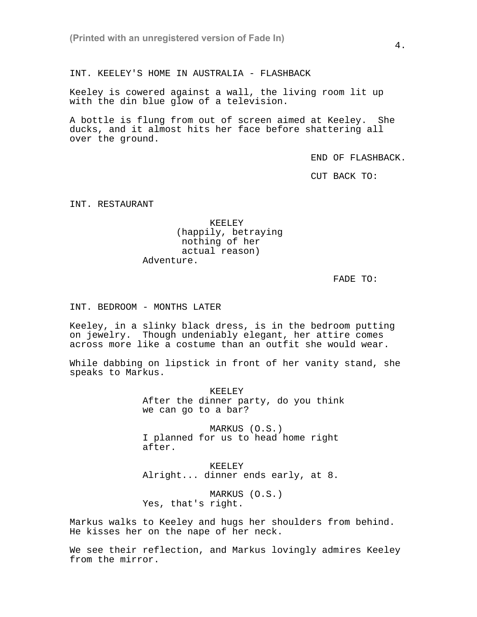INT. KEELEY'S HOME IN AUSTRALIA - FLASHBACK

Keeley is cowered against a wall, the living room lit up with the din blue glow of a television.

A bottle is flung from out of screen aimed at Keeley. She ducks, and it almost hits her face before shattering all over the ground.

END OF FLASHBACK.

CUT BACK TO:

INT. RESTAURANT

### KEELEY (happily, betraying nothing of her actual reason) Adventure.

FADE TO:

INT. BEDROOM - MONTHS LATER

Keeley, in a slinky black dress, is in the bedroom putting on jewelry. Though undeniably elegant, her attire comes across more like a costume than an outfit she would wear.

While dabbing on lipstick in front of her vanity stand, she speaks to Markus.

> KEELEY After the dinner party, do you think we can go to a bar?

MARKUS (O.S.) I planned for us to head home right after.

KEELEY Alright... dinner ends early, at 8.

MARKUS (O.S.) Yes, that's right.

Markus walks to Keeley and hugs her shoulders from behind. He kisses her on the nape of her neck.

We see their reflection, and Markus lovingly admires Keeley from the mirror.

4.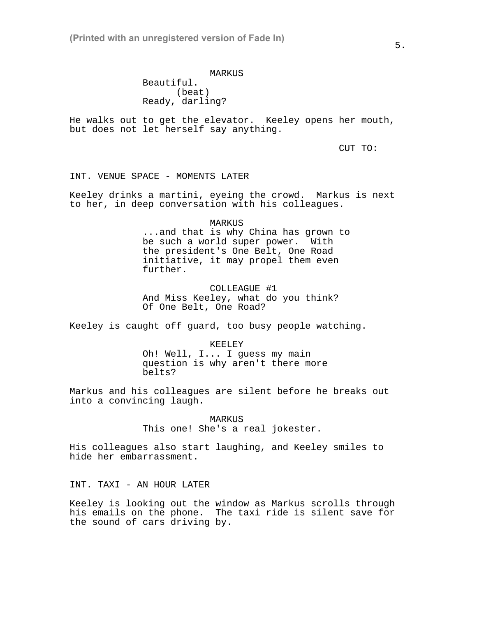**(Printed with an unregistered version of Fade In)**

# MARKUS Beautiful. (beat) Ready, darling?

He walks out to get the elevator. Keeley opens her mouth, but does not let herself say anything.

CUT TO:

INT. VENUE SPACE - MOMENTS LATER

Keeley drinks a martini, eyeing the crowd. Markus is next to her, in deep conversation with his colleagues.

# MARKUS ...and that is why China has grown to be such a world super power. With the president's One Belt, One Road initiative, it may propel them even further.

COLLEAGUE #1 And Miss Keeley, what do you think? Of One Belt, One Road?

Keeley is caught off guard, too busy people watching.

KEELEY Oh! Well, I... I guess my main question is why aren't there more belts?

Markus and his colleagues are silent before he breaks out into a convincing laugh.

> MARKUS This one! She's a real jokester.

His colleagues also start laughing, and Keeley smiles to hide her embarrassment.

INT. TAXI - AN HOUR LATER

Keeley is looking out the window as Markus scrolls through his emails on the phone. The taxi ride is silent save for the sound of cars driving by.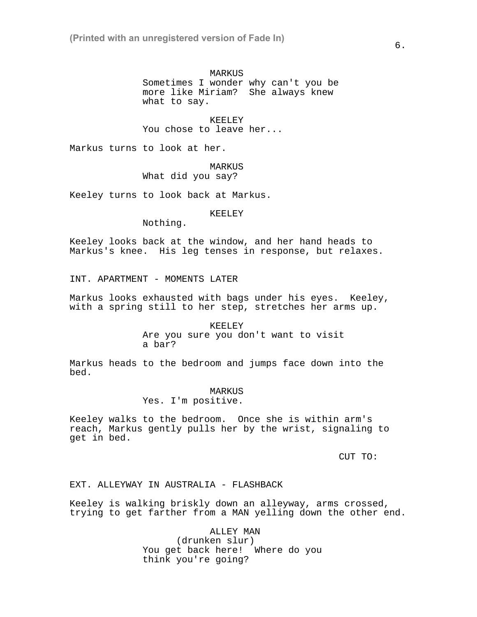MARKUS

Sometimes I wonder why can't you be more like Miriam? She always knew what to say.

KEELEY You chose to leave her...

Markus turns to look at her.

MARKUS What did you say?

Keeley turns to look back at Markus.

KEELEY

Nothing.

Keeley looks back at the window, and her hand heads to Markus's knee. His leg tenses in response, but relaxes.

INT. APARTMENT - MOMENTS LATER

Markus looks exhausted with bags under his eyes. Keeley, with a spring still to her step, stretches her arms up.

> KEELEY Are you sure you don't want to visit a bar?

Markus heads to the bedroom and jumps face down into the bed.

MARKUS

Yes. I'm positive.

Keeley walks to the bedroom. Once she is within arm's reach, Markus gently pulls her by the wrist, signaling to get in bed.

CUT TO:

EXT. ALLEYWAY IN AUSTRALIA - FLASHBACK

Keeley is walking briskly down an alleyway, arms crossed, trying to get farther from a MAN yelling down the other end.

> ALLEY MAN (drunken slur) You get back here! Where do you think you're going?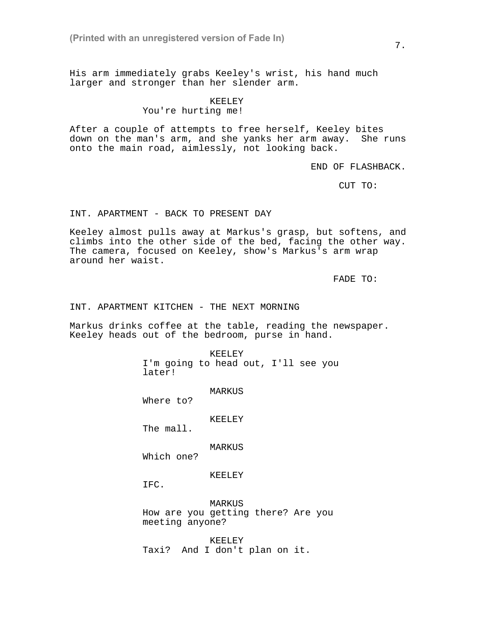His arm immediately grabs Keeley's wrist, his hand much larger and stronger than her slender arm.

#### KEELEY

You're hurting me!

After a couple of attempts to free herself, Keeley bites down on the man's arm, and she yanks her arm away. She runs onto the main road, aimlessly, not looking back.

END OF FLASHBACK.

CUT TO:

### INT. APARTMENT - BACK TO PRESENT DAY

Keeley almost pulls away at Markus's grasp, but softens, and climbs into the other side of the bed, facing the other way. The camera, focused on Keeley, show's Markus's arm wrap around her waist.

FADE TO:

INT. APARTMENT KITCHEN - THE NEXT MORNING

Markus drinks coffee at the table, reading the newspaper. Keeley heads out of the bedroom, purse in hand.

> KEELEY I'm going to head out, I'll see you later!

> > MARKUS

Where to?

KEELEY

The mall.

MARKUS

Which one?

KEELEY

IFC.

MARKUS How are you getting there? Are you meeting anyone?

KEELEY Taxi? And I don't plan on it. 7.